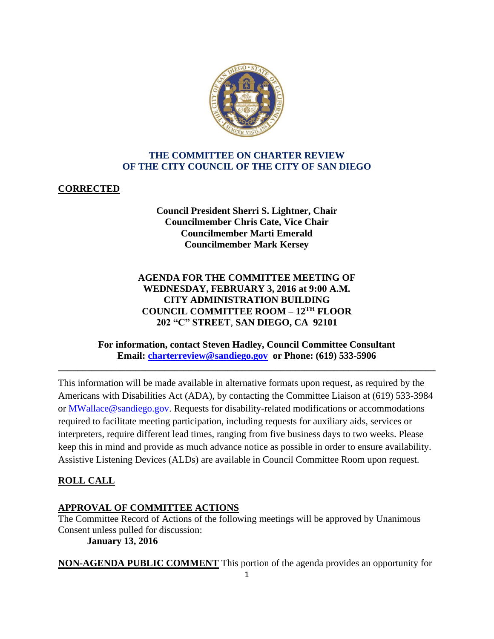

## **THE COMMITTEE ON CHARTER REVIEW OF THE CITY COUNCIL OF THE CITY OF SAN DIEGO**

## **CORRECTED**

## **Council President Sherri S. Lightner, Chair Councilmember Chris Cate, Vice Chair Councilmember Marti Emerald Councilmember Mark Kersey**

## **AGENDA FOR THE COMMITTEE MEETING OF WEDNESDAY, FEBRUARY 3, 2016 at 9:00 A.M. CITY ADMINISTRATION BUILDING COUNCIL COMMITTEE ROOM – 12TH FLOOR 202 "C" STREET**, **SAN DIEGO, CA 92101**

## **For information, contact Steven Hadley, Council Committee Consultant Email: [charterreview@sandiego.gov](mailto:charterreview@sandiego.gov) or Phone: (619) 533-5906**

**\_\_\_\_\_\_\_\_\_\_\_\_\_\_\_\_\_\_\_\_\_\_\_\_\_\_\_\_\_\_\_\_\_\_\_\_\_\_\_\_\_\_\_\_\_\_\_\_\_\_\_\_\_\_\_\_\_\_\_\_\_\_\_\_\_\_\_\_\_\_\_\_\_\_\_\_\_\_**

This information will be made available in alternative formats upon request, as required by the Americans with Disabilities Act (ADA), by contacting the Committee Liaison at (619) 533-3984 or MWallace@sandiego.gov. Requests for disability-related modifications or accommodations required to facilitate meeting participation, including requests for auxiliary aids, services or interpreters, require different lead times, ranging from five business days to two weeks. Please keep this in mind and provide as much advance notice as possible in order to ensure availability. Assistive Listening Devices (ALDs) are available in Council Committee Room upon request.

# **ROLL CALL**

## **APPROVAL OF COMMITTEE ACTIONS**

The Committee Record of Actions of the following meetings will be approved by Unanimous Consent unless pulled for discussion: **January 13, 2016**

**NON-AGENDA PUBLIC COMMENT** This portion of the agenda provides an opportunity for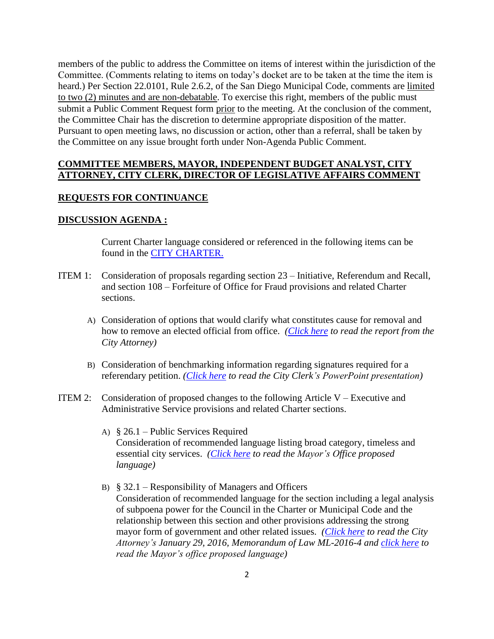members of the public to address the Committee on items of interest within the jurisdiction of the Committee. (Comments relating to items on today's docket are to be taken at the time the item is heard.) Per Section 22.0101, Rule 2.6.2, of the San Diego Municipal Code, comments are limited to two (2) minutes and are non-debatable. To exercise this right, members of the public must submit a Public Comment Request form prior to the meeting. At the conclusion of the comment, the Committee Chair has the discretion to determine appropriate disposition of the matter. Pursuant to open meeting laws, no discussion or action, other than a referral, shall be taken by the Committee on any issue brought forth under Non-Agenda Public Comment.

### **COMMITTEE MEMBERS, MAYOR, INDEPENDENT BUDGET ANALYST, CITY ATTORNEY, CITY CLERK, DIRECTOR OF LEGISLATIVE AFFAIRS COMMENT**

#### **REQUESTS FOR CONTINUANCE**

#### **DISCUSSION AGENDA :**

Current Charter language considered or referenced in the following items can be found in the [CITY CHARTER.](http://www.sandiego.gov/city-clerk/officialdocs/legisdocs/charter.shtml)

- ITEM 1: Consideration of proposals regarding section 23 Initiative, Referendum and Recall, and section 108 – Forfeiture of Office for Fraud provisions and related Charter sections.
	- A) Consideration of options that would clarify what constitutes cause for removal and how to remove an elected official from office. *[\(Click here](http://docs.sandiego.gov/councilcomm_agendas_attach/2016/cr_160203_1a.pdf) to read the report from the City Attorney)*
	- B) Consideration of benchmarking information regarding signatures required for a referendary petition. *[\(Click here](http://docs.sandiego.gov/councilcomm_agendas_attach/2016/cr_160203_1b.pdf) to read the City Clerk's PowerPoint presentation)*
- ITEM 2: Consideration of proposed changes to the following Article  $V -$  Executive and Administrative Service provisions and related Charter sections.
	- A) § 26.1 Public Services Required Consideration of recommended language listing broad category, timeless and essential city services. *[\(Click here](http://docs.sandiego.gov/councilcomm_agendas_attach/2016/cr_160203_2a.pdf) to read the Mayor's Office proposed language)*
	- B)  $§$  32.1 Responsibility of Managers and Officers Consideration of recommended language for the section including a legal analysis of subpoena power for the Council in the Charter or Municipal Code and the relationship between this section and other provisions addressing the strong mayor form of government and other related issues. *[\(Click here](http://docs.sandiego.gov/councilcomm_agendas_attach/2016/cr_160203_2b.pdf) to read the City Attorney's January 29, 2016, Memorandum of Law ML-2016-4 and [click here](http://docs.sandiego.gov/councilcomm_agendas_attach/2016/cr_160203_2b1.pdf) to read the Mayor's office proposed language)*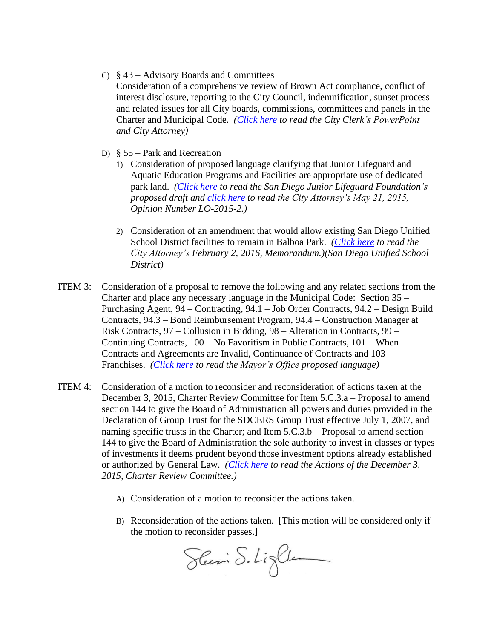C) § 43 – Advisory Boards and Committees

Consideration of a comprehensive review of Brown Act compliance, conflict of interest disclosure, reporting to the City Council, indemnification, sunset process and related issues for all City boards, commissions, committees and panels in the Charter and Municipal Code. *[\(Click here](http://docs.sandiego.gov/councilcomm_agendas_attach/2016/cr_160203_2c.pdf) to read the City Clerk's PowerPoint and City Attorney)*

- D) § 55 Park and Recreation
	- 1) Consideration of proposed language clarifying that Junior Lifeguard and Aquatic Education Programs and Facilities are appropriate use of dedicated park land. *[\(Click here](http://docs.sandiego.gov/councilcomm_agendas_attach/2016/cr_160203_2d1.pdf) to read the San Diego Junior Lifeguard Foundation's proposed draft and [click here](http://docs.sandiego.gov/councilcomm_agendas_attach/2016/cr_160203_2d1a.pdf) to read the City Attorney's May 21, 2015, Opinion Number LO-2015-2.)*
	- 2) Consideration of an amendment that would allow existing San Diego Unified School District facilities to remain in Balboa Park. *[\(Click here](http://docs.sandiego.gov/councilcomm_agendas_attach/2016/cr_160203_2d2.pdf) to read the City Attorney's February 2, 2016, Memorandum.)(San Diego Unified School District)*
- ITEM 3: Consideration of a proposal to remove the following and any related sections from the Charter and place any necessary language in the Municipal Code: Section 35 – Purchasing Agent, 94 – Contracting, 94.1 – Job Order Contracts, 94.2 – Design Build Contracts, 94.3 – Bond Reimbursement Program, 94.4 – Construction Manager at Risk Contracts, 97 – Collusion in Bidding, 98 – Alteration in Contracts, 99 – Continuing Contracts, 100 – No Favoritism in Public Contracts, 101 – When Contracts and Agreements are Invalid, Continuance of Contracts and 103 – Franchises. *[\(Click here](http://docs.sandiego.gov/councilcomm_agendas_attach/2016/cr_160203_3.pdf) to read the Mayor's Office proposed language)*
- ITEM 4: Consideration of a motion to reconsider and reconsideration of actions taken at the December 3, 2015, Charter Review Committee for Item 5.C.3.a – Proposal to amend section 144 to give the Board of Administration all powers and duties provided in the Declaration of Group Trust for the SDCERS Group Trust effective July 1, 2007, and naming specific trusts in the Charter; and Item 5.C.3.b – Proposal to amend section 144 to give the Board of Administration the sole authority to invest in classes or types of investments it deems prudent beyond those investment options already established or authorized by General Law. *[\(Click here](http://docs.sandiego.gov/ccaction_charterrev/cr151203_actions.pdf) to read the Actions of the December 3, 2015, Charter Review Committee.)*
	- A) Consideration of a motion to reconsider the actions taken.
	- B) Reconsideration of the actions taken. [This motion will be considered only if the motion to reconsider passes.]

Sleini S. Light